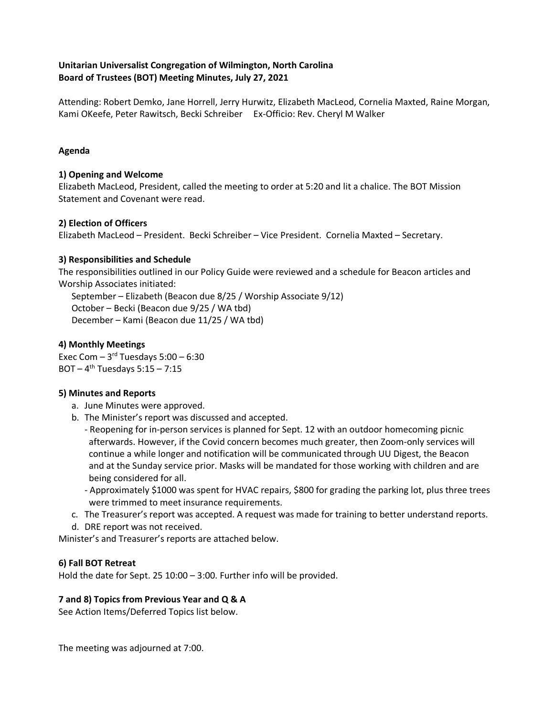### **Unitarian Universalist Congregation of Wilmington, North Carolina Board of Trustees (BOT) Meeting Minutes, July 27, 2021**

Attending: Robert Demko, Jane Horrell, Jerry Hurwitz, Elizabeth MacLeod, Cornelia Maxted, Raine Morgan, Kami OKeefe, Peter Rawitsch, Becki Schreiber Ex-Officio: Rev. Cheryl M Walker

### **Agenda**

#### **1) Opening and Welcome**

Elizabeth MacLeod, President, called the meeting to order at 5:20 and lit a chalice. The BOT Mission Statement and Covenant were read.

### **2) Election of Officers**

Elizabeth MacLeod – President. Becki Schreiber – Vice President. Cornelia Maxted – Secretary.

#### **3) Responsibilities and Schedule**

The responsibilities outlined in our Policy Guide were reviewed and a schedule for Beacon articles and Worship Associates initiated:

September – Elizabeth (Beacon due 8/25 / Worship Associate 9/12) October – Becki (Beacon due 9/25 / WA tbd) December – Kami (Beacon due 11/25 / WA tbd)

#### **4) Monthly Meetings**

Exec Com  $-3$ <sup>rd</sup> Tuesdays 5:00  $-6:30$ BOT –  $4^{th}$  Tuesdays 5:15 – 7:15

#### **5) Minutes and Reports**

- a. June Minutes were approved.
- b. The Minister's report was discussed and accepted.
	- Reopening for in-person services is planned for Sept. 12 with an outdoor homecoming picnic afterwards. However, if the Covid concern becomes much greater, then Zoom-only services will continue a while longer and notification will be communicated through UU Digest, the Beacon and at the Sunday service prior. Masks will be mandated for those working with children and are being considered for all.
	- Approximately \$1000 was spent for HVAC repairs, \$800 for grading the parking lot, plus three trees were trimmed to meet insurance requirements.
- c. The Treasurer's report was accepted. A request was made for training to better understand reports.
- d. DRE report was not received.

Minister's and Treasurer's reports are attached below.

### **6) Fall BOT Retreat**

Hold the date for Sept. 25 10:00 – 3:00. Further info will be provided.

### **7 and 8) Topics from Previous Year and Q & A**

See Action Items/Deferred Topics list below.

The meeting was adjourned at 7:00.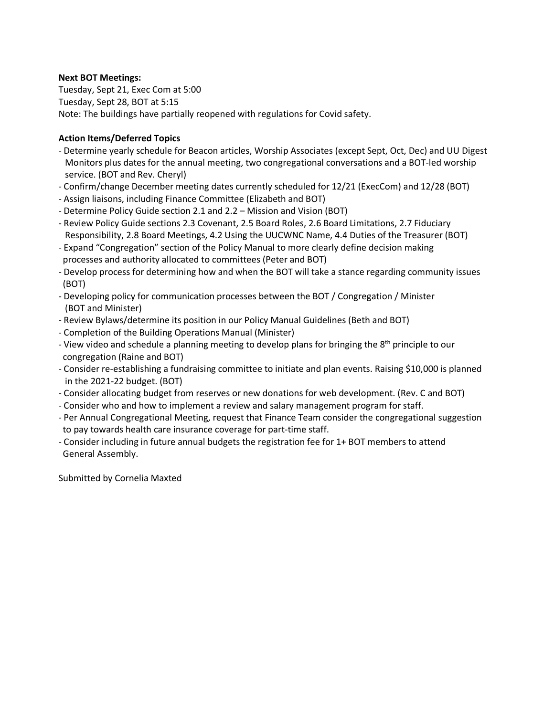#### **Next BOT Meetings:**

Tuesday, Sept 21, Exec Com at 5:00 Tuesday, Sept 28, BOT at 5:15 Note: The buildings have partially reopened with regulations for Covid safety.

#### **Action Items/Deferred Topics**

- Determine yearly schedule for Beacon articles, Worship Associates (except Sept, Oct, Dec) and UU Digest Monitors plus dates for the annual meeting, two congregational conversations and a BOT-led worship service. (BOT and Rev. Cheryl)
- Confirm/change December meeting dates currently scheduled for 12/21 (ExecCom) and 12/28 (BOT)
- Assign liaisons, including Finance Committee (Elizabeth and BOT)
- Determine Policy Guide section 2.1 and 2.2 Mission and Vision (BOT)
- Review Policy Guide sections 2.3 Covenant, 2.5 Board Roles, 2.6 Board Limitations, 2.7 Fiduciary Responsibility, 2.8 Board Meetings, 4.2 Using the UUCWNC Name, 4.4 Duties of the Treasurer (BOT)
- Expand "Congregation" section of the Policy Manual to more clearly define decision making processes and authority allocated to committees (Peter and BOT)
- Develop process for determining how and when the BOT will take a stance regarding community issues (BOT)
- Developing policy for communication processes between the BOT / Congregation / Minister (BOT and Minister)
- Review Bylaws/determine its position in our Policy Manual Guidelines (Beth and BOT)
- Completion of the Building Operations Manual (Minister)
- View video and schedule a planning meeting to develop plans for bringing the 8<sup>th</sup> principle to our congregation (Raine and BOT)
- Consider re-establishing a fundraising committee to initiate and plan events. Raising \$10,000 is planned in the 2021-22 budget. (BOT)
- Consider allocating budget from reserves or new donations for web development. (Rev. C and BOT)
- Consider who and how to implement a review and salary management program for staff.
- Per Annual Congregational Meeting, request that Finance Team consider the congregational suggestion to pay towards health care insurance coverage for part-time staff.
- Consider including in future annual budgets the registration fee for 1+ BOT members to attend General Assembly.

Submitted by Cornelia Maxted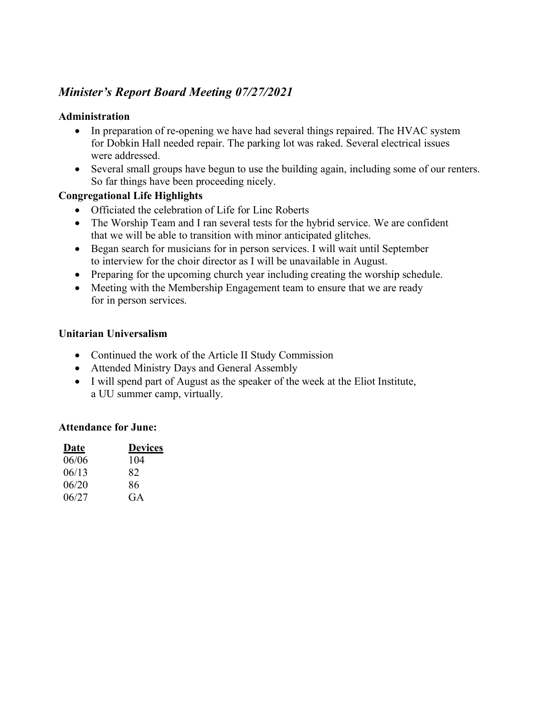# *Minister's Report Board Meeting 07/27/2021*

### **Administration**

- In preparation of re-opening we have had several things repaired. The HVAC system for Dobkin Hall needed repair. The parking lot was raked. Several electrical issues were addressed.
- Several small groups have begun to use the building again, including some of our renters. So far things have been proceeding nicely.

## **Congregational Life Highlights**

- Officiated the celebration of Life for Linc Roberts
- The Worship Team and I ran several tests for the hybrid service. We are confident that we will be able to transition with minor anticipated glitches.
- Began search for musicians for in person services. I will wait until September to interview for the choir director as I will be unavailable in August.
- Preparing for the upcoming church year including creating the worship schedule.
- Meeting with the Membership Engagement team to ensure that we are ready for in person services.

### **Unitarian Universalism**

- Continued the work of the Article II Study Commission
- Attended Ministry Days and General Assembly
- I will spend part of August as the speaker of the week at the Eliot Institute, a UU summer camp, virtually.

### **Attendance for June:**

| Date  | <b>Devices</b> |
|-------|----------------|
| 06/06 | 104            |
| 06/13 | 82             |
| 06/20 | 86             |
| 06/27 | GA             |